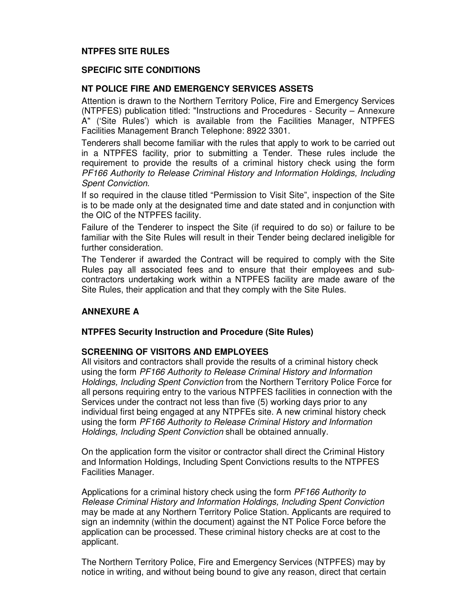# **NTPFES SITE RULES**

## **SPECIFIC SITE CONDITIONS**

## **NT POLICE FIRE AND EMERGENCY SERVICES ASSETS**

Attention is drawn to the Northern Territory Police, Fire and Emergency Services (NTPFES) publication titled: "Instructions and Procedures - Security – Annexure A" ('Site Rules') which is available from the Facilities Manager, NTPFES Facilities Management Branch Telephone: 8922 3301.

Tenderers shall become familiar with the rules that apply to work to be carried out in a NTPFES facility, prior to submitting a Tender. These rules include the requirement to provide the results of a criminal history check using the form PF166 Authority to Release Criminal History and Information Holdings, Including Spent Conviction.

If so required in the clause titled "Permission to Visit Site", inspection of the Site is to be made only at the designated time and date stated and in conjunction with the OIC of the NTPFES facility.

Failure of the Tenderer to inspect the Site (if required to do so) or failure to be familiar with the Site Rules will result in their Tender being declared ineligible for further consideration.

The Tenderer if awarded the Contract will be required to comply with the Site Rules pay all associated fees and to ensure that their employees and subcontractors undertaking work within a NTPFES facility are made aware of the Site Rules, their application and that they comply with the Site Rules.

## **ANNEXURE A**

#### **NTPFES Security Instruction and Procedure (Site Rules)**

#### **SCREENING OF VISITORS AND EMPLOYEES**

All visitors and contractors shall provide the results of a criminal history check using the form PF166 Authority to Release Criminal History and Information Holdings, Including Spent Conviction from the Northern Territory Police Force for all persons requiring entry to the various NTPFES facilities in connection with the Services under the contract not less than five (5) working days prior to any individual first being engaged at any NTPFEs site. A new criminal history check using the form PF166 Authority to Release Criminal History and Information Holdings, Including Spent Conviction shall be obtained annually.

On the application form the visitor or contractor shall direct the Criminal History and Information Holdings, Including Spent Convictions results to the NTPFES Facilities Manager.

Applications for a criminal history check using the form PF166 Authority to Release Criminal History and Information Holdings, Including Spent Conviction may be made at any Northern Territory Police Station. Applicants are required to sign an indemnity (within the document) against the NT Police Force before the application can be processed. These criminal history checks are at cost to the applicant.

The Northern Territory Police, Fire and Emergency Services (NTPFES) may by notice in writing, and without being bound to give any reason, direct that certain